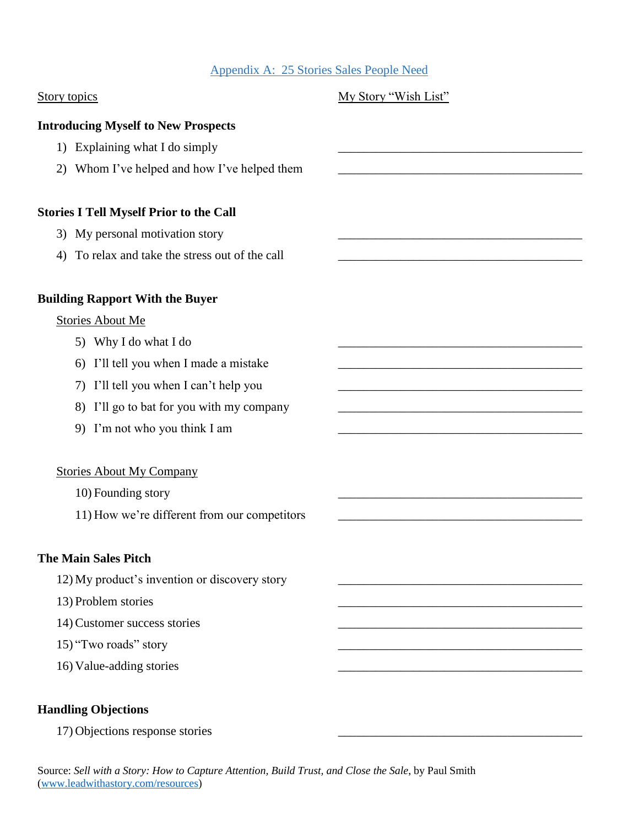## Appendix A: 25 Stories Sales People Need

| <b>Story topics</b>                                | My Story "Wish List" |
|----------------------------------------------------|----------------------|
| <b>Introducing Myself to New Prospects</b>         |                      |
| 1) Explaining what I do simply                     |                      |
| Whom I've helped and how I've helped them<br>2)    |                      |
| <b>Stories I Tell Myself Prior to the Call</b>     |                      |
| My personal motivation story<br>3)                 |                      |
| To relax and take the stress out of the call<br>4) |                      |
| <b>Building Rapport With the Buyer</b>             |                      |
| <b>Stories About Me</b>                            |                      |
| 5) Why I do what I do                              |                      |
| I'll tell you when I made a mistake<br>6)          |                      |
| I'll tell you when I can't help you<br>7)          |                      |
| I'll go to bat for you with my company<br>8)       |                      |
| 9) I'm not who you think I am                      |                      |
| <b>Stories About My Company</b>                    |                      |
| 10) Founding story                                 |                      |
| 11) How we're different from our competitors       |                      |
| <b>The Main Sales Pitch</b>                        |                      |
| 12) My product's invention or discovery story      |                      |
| 13) Problem stories                                |                      |
| 14) Customer success stories                       |                      |
| 15) "Two roads" story                              |                      |
| 16) Value-adding stories                           |                      |
| <b>Handling Objections</b>                         |                      |
| 17) Objections response stories                    |                      |